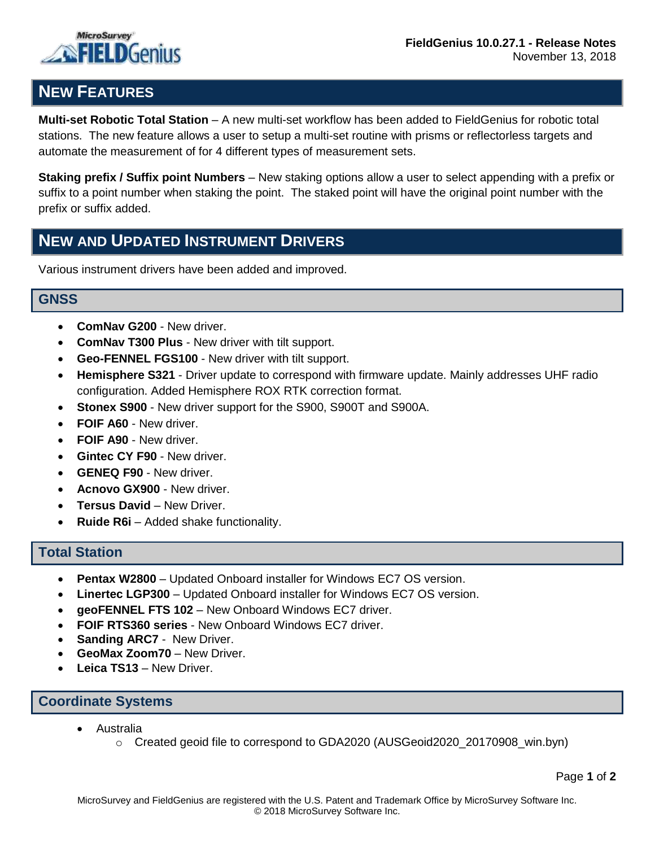



# **NEW FEATURES**

**Multi-set Robotic Total Station** – A new multi-set workflow has been added to FieldGenius for robotic total stations. The new feature allows a user to setup a multi-set routine with prisms or reflectorless targets and automate the measurement of for 4 different types of measurement sets.

**Staking prefix / Suffix point Numbers** – New staking options allow a user to select appending with a prefix or suffix to a point number when staking the point. The staked point will have the original point number with the prefix or suffix added.

## **NEW AND UPDATED INSTRUMENT DRIVERS**

Various instrument drivers have been added and improved.

#### **GNSS**

- **ComNav G200** New driver.
- **ComNav T300 Plus** New driver with tilt support.
- **Geo-FENNEL FGS100** New driver with tilt support.
- **Hemisphere S321** Driver update to correspond with firmware update. Mainly addresses UHF radio configuration. Added Hemisphere ROX RTK correction format.
- **Stonex S900** New driver support for the S900, S900T and S900A.
- **FOIF A60** New driver.
- **FOIF A90** New driver.
- **Gintec CY F90** New driver.
- **GENEQ F90** New driver.
- **Acnovo GX900** New driver.
- **Tersus David** New Driver.
- **Ruide R6i** Added shake functionality.

#### **Total Station**

- **Pentax W2800** Updated Onboard installer for Windows EC7 OS version.
- **Linertec LGP300** Updated Onboard installer for Windows EC7 OS version.
- **geoFENNEL FTS 102** New Onboard Windows EC7 driver.
- **FOIF RTS360 series** New Onboard Windows EC7 driver.
- **Sanding ARC7** New Driver.
- **GeoMax Zoom70** New Driver.
- **Leica TS13**  New Driver.

#### **Coordinate Systems**

- Australia
	- $\circ$  Created geoid file to correspond to GDA2020 (AUSGeoid2020 20170908 win.byn)